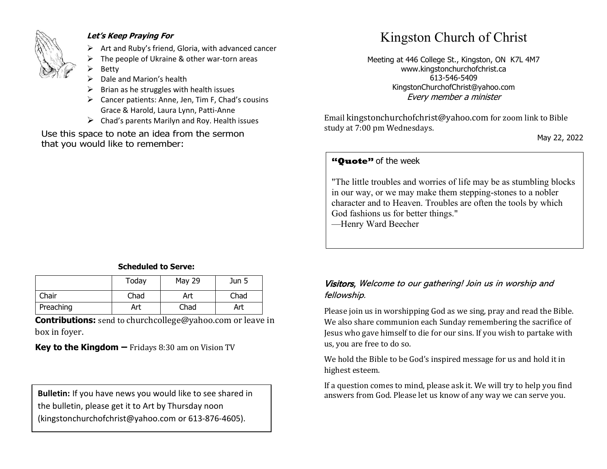

#### **Let's Keep Praying For**

- $\triangleright$  Art and Ruby's friend, Gloria, with advanced cancer
- The people of Ukraine & other war-torn areas
- **Betty**
- Dale and Marion's health
- ➢ Brian as he struggles with health issues
- ➢ Cancer patients: Anne, Jen, Tim F, Chad's cousins Grace & Harold, Laura Lynn, Patti-Anne
- $\triangleright$  Chad's parents Marilyn and Roy. Health issues

Use this space to note an idea from the sermon that you would like to remember:

#### **Scheduled to Serve:**

|           | Today | <b>May 29</b> | Jun 5 |
|-----------|-------|---------------|-------|
| Chair     | Chad  | Art           | Chad  |
| Preaching | Art   | Chad          | Art   |

**Contributions:** send to [churchcollege@yahoo.com](mailto:churchcollege@yahoo.com) or leave in box in foyer.

**Key to the Kingdom –** Fridays 8:30 am on Vision TV

the bulletin, please get it to Art by Thursday noon (kingstonchurchofchrist@yahoo.com or 613-876-4605).

# Kingston Church of Christ

Meeting at 446 College St., Kingston, ON K7L 4M7 www.kingstonchurchofchrist.ca 613-546-5409 KingstonChurchofChrist@yahoo.com Every member a minister

Email [kingstonchurchofchrist@yahoo.com](mailto:kingstonchurchofchrist@yahoo.com) for zoom link to Bible study at 7:00 pm Wednesdays.

May 22, 2022

## **"Quote"** of the week **"Quote"** of the week

 $\mathbb{E}[\mathbf{h}^{\text{max}}(t) = 1, \dots, 1, \dots, 1, \dots, 1, \dots, 1, \dots, 1, \dots, 1, \dots, 1, \dots, 1, \dots, 1, \dots, 1, \dots, 1, \dots, 1, \dots, 1, \dots, 1, \dots, 1, \dots, 1, \dots, 1, \dots, 1, \dots, 1, \dots, 1, \dots, 1, \dots, 1, \dots, 1, \dots, 1, \dots, 1, \dots, 1, \dots, 1, \dots, 1, \dots, 1, \dots, 1, \dots, 1, \dots, 1, \dots,$ "The little troubles and worries of life may be as stumbling blocks in our way, or we may make them stepping-stones to a nobler character and to Heaven. Troubles are often the tools by which God fashions us for better things."

—Henry Ward Beecher

#### Visitors, Welcome to our gathering! Join us in worship and fellowship.

Please join us in worshipping God as we sing, pray and read the Bible. We also share communion each Sunday remembering the sacrifice of Jesus who gave himself to die for our sins. If you wish to partake with us, you are free to do so.

We hold the Bible to be God's inspired message for us and hold it in highest esteem.

If a question comes to mind, please ask it. We will try to help you find **Bulletin:** If you have news you would like to see shared in answers from God. Please let us know of any way we can serve you.